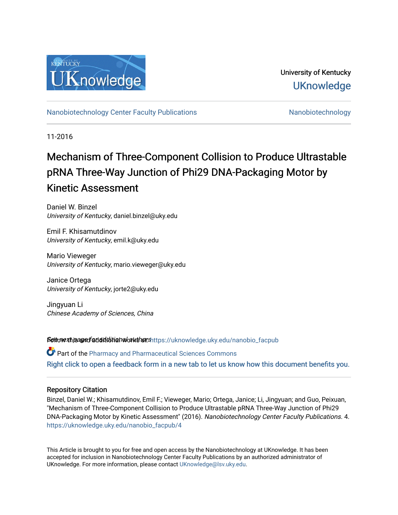

University of Kentucky **UKnowledge** 

[Nanobiotechnology Center Faculty Publications](https://uknowledge.uky.edu/nanobio_facpub) [Nanobiotechnology](https://uknowledge.uky.edu/nanobio) Nanobiotechnology

11-2016

# Mechanism of Three-Component Collision to Produce Ultrastable pRNA Three-Way Junction of Phi29 DNA-Packaging Motor by Kinetic Assessment

Daniel W. Binzel University of Kentucky, daniel.binzel@uky.edu

Emil F. Khisamutdinov University of Kentucky, emil.k@uky.edu

Mario Vieweger University of Kentucky, mario.vieweger@uky.edu

Janice Ortega University of Kentucky, jorte2@uky.edu

Jingyuan Li Chinese Academy of Sciences, China

Settovext paged additional authorshttps://uknowledge.uky.edu/nanobio\_facpub

Part of the [Pharmacy and Pharmaceutical Sciences Commons](http://network.bepress.com/hgg/discipline/731?utm_source=uknowledge.uky.edu%2Fnanobio_facpub%2F4&utm_medium=PDF&utm_campaign=PDFCoverPages) [Right click to open a feedback form in a new tab to let us know how this document benefits you.](https://uky.az1.qualtrics.com/jfe/form/SV_9mq8fx2GnONRfz7)

# Repository Citation

Binzel, Daniel W.; Khisamutdinov, Emil F.; Vieweger, Mario; Ortega, Janice; Li, Jingyuan; and Guo, Peixuan, "Mechanism of Three-Component Collision to Produce Ultrastable pRNA Three-Way Junction of Phi29 DNA-Packaging Motor by Kinetic Assessment" (2016). Nanobiotechnology Center Faculty Publications. 4. [https://uknowledge.uky.edu/nanobio\\_facpub/4](https://uknowledge.uky.edu/nanobio_facpub/4?utm_source=uknowledge.uky.edu%2Fnanobio_facpub%2F4&utm_medium=PDF&utm_campaign=PDFCoverPages) 

This Article is brought to you for free and open access by the Nanobiotechnology at UKnowledge. It has been accepted for inclusion in Nanobiotechnology Center Faculty Publications by an authorized administrator of UKnowledge. For more information, please contact [UKnowledge@lsv.uky.edu](mailto:UKnowledge@lsv.uky.edu).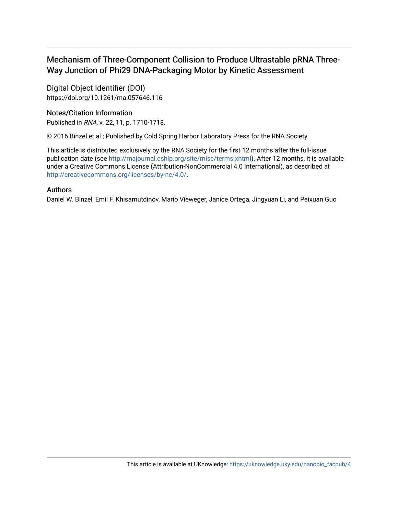# Mechanism of Three-Component Collision to Produce Ultrastable pRNA Three-Way Junction of Phi29 DNA-Packaging Motor by Kinetic Assessment

Digital Object Identifier (DOI) https://doi.org/10.1261/rna.057646.116

# Notes/Citation Information

Published in RNA, v. 22, 11, p. 1710-1718.

© 2016 Binzel et al.; Published by Cold Spring Harbor Laboratory Press for the RNA Society

This article is distributed exclusively by the RNA Society for the first 12 months after the full-issue publication date (see [http://rnajournal.cshlp.org/site/misc/terms.xhtml\)](http://rnajournal.cshlp.org/site/misc/terms.xhtml). After 12 months, it is available under a Creative Commons License (Attribution-NonCommercial 4.0 International), as described at [http://creativecommons.org/licenses/by-nc/4.0/.](https://creativecommons.org/licenses/by-nc/4.0/)

# Authors

Daniel W. Binzel, Emil F. Khisamutdinov, Mario Vieweger, Janice Ortega, Jingyuan Li, and Peixuan Guo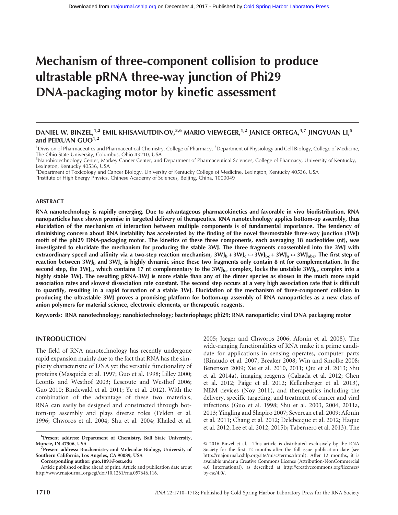# Mechanism of three-component collision to produce ultrastable pRNA three-way junction of Phi29 DNA-packaging motor by kinetic assessment

# DANIEL W. BINZEL,<sup>1,2</sup> EMIL KHISAMUTDINOV,<sup>3,6</sup> MARIO VIEWEGER,<sup>1,2</sup> JANICE ORTEGA,<sup>4,7</sup> JINGYUAN LI,<sup>5</sup> and PEIXUAN GUO<sup>1,2</sup>

<sup>1</sup> Division of Pharmaceutics and Pharmaceutical Chemistry, College of Pharmacy, <sup>2</sup> Department of Physiology and Cell Biology, College of Medicine, The Ohio State University, Columbus, Ohio 43210, USA

<sup>3</sup> Nanobiotechnology Center, Markey Cancer Center, and Department of Pharmaceutical Sciences, College of Pharmacy, University of Kentucky, Lexington, Kentucky 40536, USA

4 Department of Toxicology and Cancer Biology, University of Kentucky College of Medicine, Lexington, Kentucky 40536, USA

<sup>5</sup>Institute of High Energy Physics, Chinese Academy of Sciences, Beijing, China, 1000049

#### ABSTRACT

RNA nanotechnology is rapidly emerging. Due to advantageous pharmacokinetics and favorable in vivo biodistribution, RNA nanoparticles have shown promise in targeted delivery of therapeutics. RNA nanotechnology applies bottom-up assembly, thus elucidation of the mechanism of interaction between multiple components is of fundamental importance. The tendency of diminishing concern about RNA instability has accelerated by the finding of the novel thermostable three-way junction (3WJ) motif of the phi29 DNA-packaging motor. The kinetics of these three components, each averaging 18 nucleotides (nt), was investigated to elucidate the mechanism for producing the stable 3WJ. The three fragments coassembled into the 3WJ with extraordinary speed and affinity via a two-step reaction mechanism,  $3WJ_b + 3WJ_c \leftrightarrow 3WJ_{bc} + 3WJ_a \leftrightarrow 3WJ_{abc}$ . The first step of reaction between  $3WJ_b$  and  $3WJ_c$  is highly dynamic since these two fragments only contain 8 nt for complementation. In the second step, the 3WJ<sub>a</sub>, which contains 17 nt complementary to the 3WJ<sub>bc</sub> complex, locks the unstable 3WJ<sub>bc</sub> complex into a highly stable 3WJ. The resulting pRNA-3WJ is more stable than any of the dimer species as shown in the much more rapid association rates and slowest dissociation rate constant. The second step occurs at a very high association rate that is difficult to quantify, resulting in a rapid formation of a stable 3WJ. Elucidation of the mechanism of three-component collision in producing the ultrastable 3WJ proves a promising platform for bottom-up assembly of RNA nanoparticles as a new class of anion polymers for material science, electronic elements, or therapeutic reagents.

Keywords: RNA nanotechnology; nanobiotechnology; bacteriophage; phi29; RNA nanoparticle; viral DNA packaging motor

## INTRODUCTION

The field of RNA nanotechnology has recently undergone rapid expansion mainly due to the fact that RNA has the simplicity characteristic of DNA yet the versatile functionality of proteins (Masquida et al. 1997; Guo et al. 1998; Lilley 2000; Leontis and Westhof 2003; Lescoute and Westhof 2006; Guo 2010; Bindewald et al. 2011; Ye et al. 2012). With the combination of the advantage of these two materials, RNA can easily be designed and constructed through bottom-up assembly and plays diverse roles (Felden et al. 1996; Chworos et al. 2004; Shu et al. 2004; Khaled et al.

Corresponding author: [guo.1091@osu.edu](mailto:guo.1091@osu.edu)

2005; Jaeger and Chworos 2006; Afonin et al. 2008). The wide-ranging functionalities of RNA make it a prime candidate for applications in sensing operates, computer parts (Rinaudo et al. 2007; Breaker 2008; Win and Smolke 2008; Benenson 2009; Xie et al. 2010, 2011; Qiu et al. 2013; Shu et al. 2014a), imaging reagents (Calzada et al. 2012; Chen et al. 2012; Paige et al. 2012; Kellenberger et al. 2013), NEM devices (Noy 2011), and therapeutics including the delivery, specific targeting, and treatment of cancer and viral infections (Guo et al. 1998; Shu et al. 2003, 2004, 2011a, 2013; Yingling and Shapiro 2007; Severcan et al. 2009; Afonin et al. 2011; Chang et al. 2012; Delebecque et al. 2012; Haque et al. 2012; Lee et al. 2012, 2015b; Tabernero et al. 2013). The

<sup>6</sup> Present address: Department of Chemistry, Ball State University, Muncie, IN 47306, USA <sup>7</sup>

<sup>&</sup>lt;sup>7</sup>Present address: Biochemistry and Molecular Biology, University of Southern California, Los Angeles, CA 90089, USA

Article published online ahead of print. Article and publication date are at <http://www.rnajournal.org/cgi/doi/10.1261/rna.057646.116>.

[<sup>© 2016</sup> Binzel et al.](http://www.rnajournal.org/site/misc/terms.xhtml) This article is distributed exclusively by the RNA Society for the first 12 months after the full-issue publication date (see [http://rnajournal.cshlp.org/site/misc/terms.xhtml\)](http://rnajournal.cshlp.org/site/misc/terms.xhtml). After 12 months, it is available under a Creative Commons License (Attribution-NonCommercial 4.0 International), as described at [http://creativecommons.org/licenses/](http://creativecommons.org/licenses/by-nc/4.0/) [by-nc/4.0/.](http://creativecommons.org/licenses/by-nc/4.0/)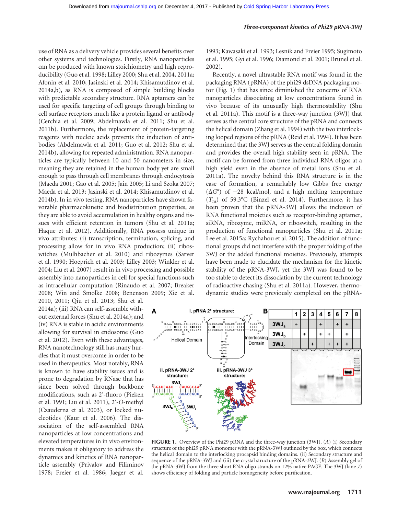use of RNA as a delivery vehicle provides several benefits over other systems and technologies. Firstly, RNA nanoparticles can be produced with known stoichiometry and high reproducibility (Guo et al. 1998; Lilley 2000; Shu et al. 2004, 2011a; Afonin et al. 2010; Jasinski et al. 2014; Khisamutdinov et al. 2014a,b), as RNA is composed of simple building blocks with predictable secondary structure. RNA aptamers can be used for specific targeting of cell groups through binding to cell surface receptors much like a protein ligand or antibody (Cerchia et al. 2009; Abdelmawla et al. 2011; Shu et al. 2011b). Furthermore, the replacement of protein-targeting reagents with nucleic acids prevents the induction of antibodies (Abdelmawla et al. 2011; Guo et al. 2012; Shu et al. 2014b), allowing for repeated administration. RNA nanoparticles are typically between 10 and 50 nanometers in size, meaning they are retained in the human body yet are small enough to pass through cell membranes through endocytosis (Maeda 2001; Gao et al. 2005; Jain 2005; Li and Szoka 2007; Maeda et al. 2013; Jasinski et al. 2014; Khisamutdinov et al. 2014b). In in vivo testing, RNA nanoparticles have shown favorable pharmacokinetic and biodistribution properties, as they are able to avoid accumulation in healthy organs and tissues with efficient retention in tumors (Shu et al. 2011a; Haque et al. 2012). Additionally, RNA possess unique in vivo attributes: (i) transcription, termination, splicing, and processing allow for in vivo RNA production; (ii) riboswitches (Mulhbacher et al. 2010) and ribozymes (Sarver et al. 1990; Hoeprich et al. 2003; Lilley 2003; Winkler et al. 2004; Liu et al. 2007) result in in vivo processing and possible assembly into nanoparticles in cell for special functions such as intracellular computation (Rinaudo et al. 2007; Breaker 2008; Win and Smolke 2008; Benenson 2009; Xie et al.

2010, 2011; Qiu et al. 2013; Shu et al. 2014a); (iii) RNA can self-assemble without external forces (Shu et al. 2014a); and (iv) RNA is stable in acidic environments allowing for survival in endosome (Guo et al. 2012). Even with these advantages, RNA nanotechnology still has many hurdles that it must overcome in order to be used in therapeutics. Most notably, RNA is known to have stability issues and is prone to degradation by RNase that has since been solved through backbone modifications, such as 2′ -fluoro (Pieken et al. 1991; Liu et al. 2011), 2′ -O-methyl (Czauderna et al. 2003), or locked nucleotides (Kaur et al. 2006). The dissociation of the self-assembled RNA nanoparticles at low concentrations and elevated temperatures in in vivo environments makes it obligatory to address the dynamics and kinetics of RNA nanoparticle assembly (Privalov and Filiminov 1978; Freier et al. 1986; Jaeger et al.

1993; Kawasaki et al. 1993; Lesnik and Freier 1995; Sugimoto et al. 1995; Gyi et al. 1996; Diamond et al. 2001; Brunel et al. 2002).

Recently, a novel ultrastable RNA motif was found in the packaging RNA (pRNA) of the phi29 dsDNA packaging motor (Fig. 1) that has since diminished the concerns of RNA nanoparticles dissociating at low concentrations found in vivo because of its unusually high thermostability (Shu et al. 2011a). This motif is a three-way junction (3WJ) that serves as the central core structure of the pRNA and connects the helical domain (Zhang et al. 1994) with the two interlocking looped regions of the pRNA (Reid et al. 1994). It has been determined that the 3WJ serves as the central folding domain and provides the overall high stability seen in pRNA. The motif can be formed from three individual RNA oligos at a high yield even in the absence of metal ions (Shu et al. 2011a). The novelty behind this RNA structure is in the ease of formation, a remarkably low Gibbs free energy  $(\Delta G^{\circ})$  of  $-28$  kcal/mol, and a high melting temperature  $(T<sub>m</sub>)$  of 59.3°C (Binzel et al. 2014). Furthermore, it has been proven that the pRNA-3WJ allows the inclusion of RNA functional moieties such as receptor-binding aptamer, siRNA, ribozyme, miRNA, or riboswitch, resulting in the production of functional nanoparticles (Shu et al. 2011a; Lee et al. 2015a; Rychahou et al. 2015). The addition of functional groups did not interfere with the proper folding of the 3WJ or the added functional moieties. Previously, attempts have been made to elucidate the mechanism for the kinetic stability of the pRNA-3WJ, yet the 3WJ was found to be too stable to detect its dissociation by the current technology of radioactive chasing (Shu et al. 2011a). However, thermodynamic studies were previously completed on the pRNA-



FIGURE 1. Overview of the Phi29 pRNA and the three-way junction (3WJ). (A) (i) Secondary structure of the phi29 pRNA monomer with the pRNA-3WJ outlined by the box, which connects the helical domain to the interlocking procapsid binding domains. (ii) Secondary structure and sequence of the pRNA-3WJ and (iii) the crystal structure of the pRNA-3WJ. (B) Assembly gel of the pRNA-3WJ from the three short RNA oligo strands on 12% native PAGE. The 3WJ (lane 7) shows efficiency of folding and particle homogeneity before purification.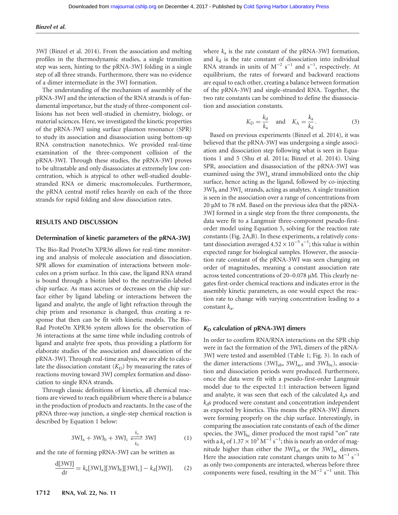3WJ (Binzel et al. 2014). From the association and melting profiles in the thermodynamic studies, a single transition step was seen, hinting to the pRNA-3WJ folding in a single step of all three strands. Furthermore, there was no evidence of a dimer intermediate in the 3WJ formation.

The understanding of the mechanism of assembly of the pRNA-3WJ and the interaction of the RNA strands is of fundamental importance, but the study of three-component collisions has not been well-studied in chemistry, biology, or material sciences. Here, we investigated the kinetic properties of the pRNA-3WJ using surface plasmon resonance (SPR) to study its association and disassociation using bottom-up RNA construction nanotechnics. We provided real-time examination of the three-component collision of the pRNA-3WJ. Through these studies, the pRNA-3WJ proves to be ultrastable and only disassociates at extremely low concentration, which is atypical to other well-studied doublestranded RNA or dimeric macromolecules. Furthermore, the pRNA central motif relies heavily on each of the three strands for rapid folding and slow dissociation rates.

## RESULTS AND DISCUSSION

#### Determination of kinetic parameters of the pRNA-3WJ

The Bio-Rad ProteOn XPR36 allows for real-time monitoring and analysis of molecule association and dissociation. SPR allows for examination of interactions between molecules on a prism surface. In this case, the ligand RNA strand is bound through a biotin label to the neutravidin-labeled chip surface. As mass accrues or decreases on the chip surface either by ligand labeling or interactions between the ligand and analyte, the angle of light refraction through the chip prism and resonance is changed, thus creating a response that then can be fit with kinetic models. The Bio-Rad ProteOn XPR36 system allows for the observation of 36 interactions at the same time while including controls of ligand and analyte free spots, thus providing a platform for elaborate studies of the association and dissociation of the pRNA-3WJ. Through real-time analysis, we are able to calculate the dissociation constant  $(K_D)$  by measuring the rates of reactions moving toward 3WJ complex formation and dissociation to single RNA strands.

Through classic definitions of kinetics, all chemical reactions are viewed to reach equilibrium where there is a balance in the production of products and reactants. In the case of the pRNA three-way junction, a single-step chemical reaction is described by Equation 1 below:

$$
3\mathrm{WJ}_a + 3\mathrm{WJ}_b + 3\mathrm{WJ}_c \xleftarrow[k_a]{k_a} 3\mathrm{WJ}
$$
 (1)

and the rate of forming pRNA-3WJ can be written as

$$
\frac{\text{d}[3\text{W}]]}{\text{d}t} = k_a[3\text{W}J_a][3\text{W}J_b][3\text{W}J_c] - k_d[3\text{W}J],\tag{2}
$$

where  $k_a$  is the rate constant of the pRNA-3WJ formation, and  $k_d$  is the rate constant of dissociation into individual RNA strands in units of  $M^{-2}$  s<sup>-1</sup> and s<sup>-1</sup>, respectively. At equilibrium, the rates of forward and backward reactions are equal to each other, creating a balance between formation of the pRNA-3WJ and single-stranded RNA. Together, the two rate constants can be combined to define the disassociation and association constants.

$$
K_{\rm D} = \frac{k_{\rm d}}{k_{\rm a}} \quad \text{and} \quad K_{\rm A} = \frac{k_{\rm a}}{k_{\rm d}}.\tag{3}
$$

Based on previous experiments (Binzel et al. 2014), it was believed that the pRNA-3WJ was undergoing a single association and dissociation step following what is seen in Equations 1 and 5 (Shu et al. 2011a; Binzel et al. 2014). Using SPR, association and disassociation of the pRNA-3WJ was examined using the  $3\text{WJ}_a$  strand immobilized onto the chip surface, hence acting as the ligand, followed by co-injecting  $3WJ<sub>b</sub>$  and  $3WJ<sub>c</sub>$  strands, acting as analytes. A single transition is seen in the association over a range of concentrations from 20 μM to 78 nM. Based on the previous idea that the pRNA-3WJ formed in a single step from the three components, the data were fit to a Langmuir three-component pseudo-firstorder model using Equation 5, solving for the reaction rate constants (Fig. 2A,B). In these experiments, a relatively constant dissociation averaged  $4.52 \times 10^{-5}$  s<sup>-1</sup>; this value is within expected range for biological samples. However, the association rate constant of the pRNA-3WJ was seen changing on order of magnitudes, meaning a constant association rate across tested concentrations of 20–0.078 μM. This clearly negates first-order chemical reactions and indicates error in the assembly kinetic parameters, as one would expect the reaction rate to change with varying concentration leading to a constant  $k_a$ .

# $K_D$  calculation of pRNA-3WJ dimers

In order to confirm RNA/RNA interactions on the SPR chip were in fact the formation of the 3WJ, dimers of the pRNA-3WJ were tested and assembled (Table 1; Fig. 3). In each of the dimer interactions (3WJ<sub>ab</sub>, 3WJ<sub>ac</sub>, and 3WJ<sub>bc</sub>), association and dissociation periods were produced. Furthermore, once the data were fit with a pseudo-first-order Langmuir model due to the expected 1:1 interaction between ligand and analyte, it was seen that each of the calculated  $k_a$ s and  $k_d$ s produced were constant and concentration independent as expected by kinetics. This means the pRNA-3WJ dimers were forming properly on the chip surface. Interestingly, in comparing the association rate constants of each of the dimer species, the  $3WJ_{bc}$  dimer produced the most rapid "on" rate with a  $k_a$  of  $1.37 \times 10^5 \,\mathrm{M}^{-1} \,\mathrm{s}^{-1}$ ; this is nearly an order of magnitude higher than either the 3WJ<sub>ab</sub> or the 3WJ<sub>ac</sub> dimers. Here the association rate constant changes units to  $M^{-1}$  s<sup>-1</sup> as only two components are interacted, whereas before three components were fused, resulting in the  $M^{-2}$  s<sup>-1</sup> unit. This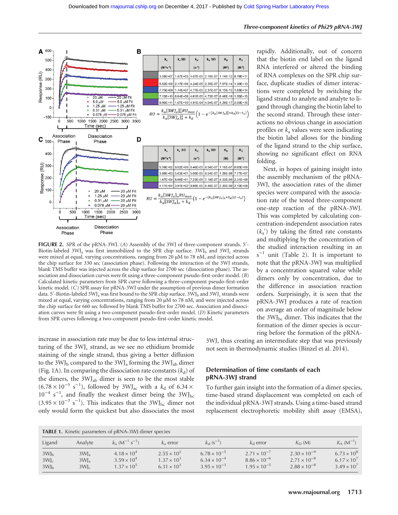

**FIGURE 2.** SPR of the pRNA-3WJ. (A) Assembly of the 3WJ of three-component strands. 5'-Biotin-labeled  $3\text{WJ}_a$  was first immobilized to the SPR chip surface.  $3\text{WJ}_b$  and  $3\text{WJ}_c$  strands were mixed at equal, varying concentrations, ranging from 20 μM to 78 nM, and injected across the chip surface for 330 sec (association phase). Following the interaction of the 3WJ strands, blank TMS buffer was injected across the chip surface for 2700 sec (dissociation phase). The association and dissociation curves were fit using a three-component pseudo-first-order model. (B) Calculated kinetic parameters from SPR curve following a three-component pseudo-first-order kinetic model. (C) SPR assay for pRNA-3WJ under the assumption of previous dimer formation data. 5′-Biotin-labeled 3WJ<sub>a</sub> was first bound to the SPR chip surface. 3WJ<sub>b</sub> and 3WJ<sub>c</sub> strands were mixed at equal, varying concentrations, ranging from 20 μM to 78 nM, and were injected across the chip surface for 660 sec followed by blank TMS buffer for 2700 sec. Association and dissociation curves were fit using a two-component pseudo-first-order model. (D) Kinetic parameters from SPR curves following a two-component pseudo-first-order kinetic model.

increase in association rate may be due to less internal structuring of the  $3\text{WI}_c$  strand, as we see no ethidium bromide staining of the single strand, thus giving a better diffusion to the 3WJ<sub>b</sub> compared to the 3WJ<sub>a</sub> forming the 3WJ<sub>ab</sub> dimer (Fig. 1A). In comparing the dissociation rate constants  $(k_d)$  of the dimers, the 3WJab dimer is seen to be the most stable  $(6.78 \times 10^{-5} \text{ s}^{-1})$ , followed by 3WJ<sub>ac</sub> with a  $k_d$  of 6.34 × 10<sup>-4</sup> s<sup>-1</sup>, and finally the weakest dimer being the 3WJ<sub>bc</sub>  $(3.95 \times 10^{-3} \text{ s}^{-1})$ . This indicates that the 3WJ<sub>bc</sub> dimer not only would form the quickest but also dissociates the most

rapidly. Additionally, out of concern that the biotin end label on the ligand RNA interfered or altered the binding of RNA complexes on the SPR chip surface, duplicate studies of dimer interactions were completed by switching the ligand strand to analyte and analyte to ligand through changing the biotin label to the second strand. Through these interactions no obvious change in association profiles or  $k_a$  values were seen indicating the biotin label allows for the binding of the ligand strand to the chip surface, showing no significant effect on RNA folding.

Next, in hopes of gaining insight into the assembly mechanism of the pRNA-3WJ, the association rates of the dimer species were compared with the association rate of the tested three-component one-step reaction of the pRNA-3WJ. This was completed by calculating concentration-independent association rates  $(k_a)$  by taking the fitted rate constants and multiplying by the concentration of the studied interaction resulting in an  $s^{-1}$  unit (Table 2). It is important to note that the pRNA-3WJ was multiplied by a concentration squared value while dimers only by concentration, due to the difference in association reaction orders. Surprisingly, it is seen that the pRNA-3WJ produces a rate of reaction on average an order of magnitude below the  $3WJ_{bc}$  dimer. This indicates that the formation of the dimer species is occurring before the formation of the pRNA-

3WJ, thus creating an intermediate step that was previously not seen in thermodynamic studies (Binzel et al. 2014).

# Determination of time constants of each pRNA-3WJ strand

To further gain insight into the formation of a dimer species, time-based strand displacement was completed on each of the individual pRNA-3WJ strands. Using a time-based strand replacement electrophoretic mobility shift assay (EMSA),

| <b>TABLE 1.</b> Kinetic parameters of pRNA-3WJ dimer species |                                                           |                                                                      |                                                                      |                                                                         |                                                                         |                                                                         |                                                                    |
|--------------------------------------------------------------|-----------------------------------------------------------|----------------------------------------------------------------------|----------------------------------------------------------------------|-------------------------------------------------------------------------|-------------------------------------------------------------------------|-------------------------------------------------------------------------|--------------------------------------------------------------------|
| Ligand                                                       | Analyte                                                   | $k_a$ (M <sup>-1</sup> s <sup>-1</sup> )                             | $k_{\rm a}$ error                                                    | $k_{\rm d}$ (s <sup>-1</sup> )                                          | $k_{\rm d}$ error                                                       | $K_{\square}$ (M)                                                       | $K_{A}$ $(M^{-1})$                                                 |
| 3WJ <sub>b</sub><br>$3WJ_c$<br>3WJ <sub>b</sub>              | 3W <sub>1a</sub><br>3WJ <sub>a</sub><br>$3W$ <sub>c</sub> | $4.18 \times 10^{4}$<br>$3.59 \times 10^{4}$<br>$1.37 \times 10^{5}$ | $2.55 \times 10^{2}$<br>$1.37 \times 10^{3}$<br>$6.31 \times 10^{3}$ | $6.78 \times 10^{-5}$<br>$6.34 \times 10^{-4}$<br>$3.95 \times 10^{-3}$ | $2.71 \times 10^{-7}$<br>$8.86 \times 10^{-6}$<br>$1.95 \times 10^{-5}$ | $2.30 \times 10^{-9}$<br>$2.71 \times 10^{-8}$<br>$2.88 \times 10^{-8}$ | $6.73 \times 10^8$<br>$6.17 \times 10^{7}$<br>$3.49 \times 10^{7}$ |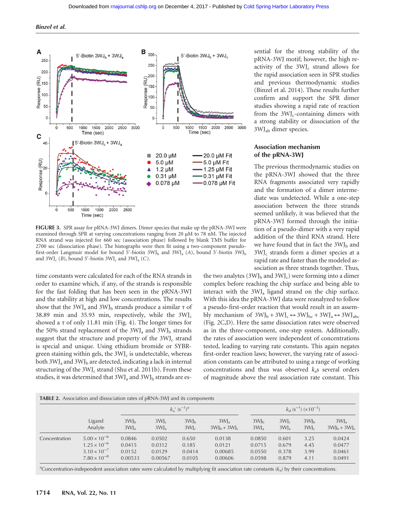

FIGURE 3. SPR assay for pRNA-3WJ dimers. Dimer species that make up the pRNA-3WJ were examined through SPR at varying concentrations ranging from 20 μM to 78 nM. The injected RNA strand was injected for 660 sec (association phase) followed by blank TMS buffer for 2700 sec (dissociation phase). The histographs were then fit using a two-component pseudofirst-order Langmuir model for bound 5'-biotin  $3WJ<sub>b</sub>$  and  $3WJ<sub>a</sub>$  (A), bound 5'-biotin  $3WJ<sub>b</sub>$ and  $3\text{WJ}_c$  (*B*), bound 5′-biotin  $3\text{WJ}_c$  and  $3\text{WJ}_a$  (*C*).

time constants were calculated for each of the RNA strands in order to examine which, if any, of the strands is responsible for the fast folding that has been seen in the pRNA-3WJ and the stability at high and low concentrations. The results show that the 3WJ<sub>a</sub> and 3WJ<sub>b</sub> strands produce a similar  $\tau$  of 38.89 min and 35.93 min, respectively, while the  $3WJ_c$ showed a  $\tau$  of only 11.81 min (Fig. 4). The longer times for the 50% strand replacement of the  $3\text{WJ}_a$  and  $3\text{WJ}_b$  strands suggest that the structure and property of the  $3WJ<sub>c</sub>$  strand is special and unique. Using ethidium bromide or SYBRgreen staining within gels, the  $3WJ<sub>c</sub>$  is undetectable, whereas both 3WJ<sub>a</sub> and 3WJ<sub>b</sub> are detected, indicating a lack in internal structuring of the 3WJ<sub>c</sub> strand (Shu et al. 2011b). From these studies, it was determined that  $3WJ_a$  and  $3WJ_b$  strands are essential for the strong stability of the pRNA-3WJ motif; however, the high reactivity of the  $3WJ_c$  strand allows for the rapid association seen in SPR studies and previous thermodynamic studies (Binzel et al. 2014). These results further confirm and support the SPR dimer studies showing a rapid rate of reaction from the  $3WJ<sub>c</sub>$ -containing dimers with a strong stability or dissociation of the 3WJab dimer species.

# Association mechanism of the pRNA-3WJ

The previous thermodynamic studies on the pRNA-3WJ showed that the three RNA fragments associated very rapidly and the formation of a dimer intermediate was undetected. While a one-step association between the three strands seemed unlikely, it was believed that the pRNA-3WJ formed through the initiation of a pseudo-dimer with a very rapid addition of the third RNA strand. Here we have found that in fact the  $3WJ<sub>b</sub>$  and  $3WJ<sub>c</sub>$  strands form a dimer species at a rapid rate and faster than the modeled association as three strands together. Thus,

the two analytes  $(3WJ<sub>b</sub>$  and  $3WJ<sub>c</sub>$ ) were forming into a dimer complex before reaching the chip surface and being able to interact with the 3WJa ligand strand on the chip surface. With this idea the pRNA-3WJ data were reanalyzed to follow a pseudo-first-order reaction that would result in an assembly mechanism of  $3WJ_b + 3WJ_c \leftrightarrow 3WJ_{bc} + 3WJ_a \leftrightarrow 3WJ_{abc}$ (Fig. 2C,D). Here the same dissociation rates were observed as in the three-component, one-step system. Additionally, the rates of association were independent of concentrations tested, leading to varying rate constants. This again negates first-order reaction laws; however, the varying rate of association constants can be attributed to using a range of working concentrations and thus was observed  $k_a$ s several orders of magnitude above the real association rate constant. This

|               | <b>TABLE 2.</b> Association and dissociation rates of pRNA-3WJ and its components |                 |                 | $k_a'$ (s <sup>-1</sup> ) <sup>a</sup> |                   |                 |                 | $k_d$ (s <sup>-1</sup> ) (×10 <sup>-3</sup> ) |                 |
|---------------|-----------------------------------------------------------------------------------|-----------------|-----------------|----------------------------------------|-------------------|-----------------|-----------------|-----------------------------------------------|-----------------|
|               | Ligand                                                                            | 3W <sub>h</sub> | $3W_0$          | 3W <sub>h</sub>                        | 3W <sub>2</sub>   | 3W <sub>h</sub> | $3W_c$          | 3W <sub>h</sub>                               | 3W <sub>2</sub> |
|               | Analyte                                                                           | $3WJ_a$         | 3W <sub>2</sub> | $3W$ <sub>c</sub>                      | $3W_{h} + 3W_{c}$ | $3WJ_a$         | 3W <sub>a</sub> | $3W_c$                                        | $3WJ_h + 3WJ_c$ |
| Concentration | $5.00 \times 10^{-6}$                                                             | 0.0846          | 0.0502          | 0.650                                  | 0.0138            | 0.0850          | 0.601           | 3.25                                          | 0.0424          |
|               | $1.25 \times 10^{-6}$                                                             | 0.0415          | 0.0312          | 0.185                                  | 0.0121            | 0.0715          | 0.679           | 4.45                                          | 0.0477          |
|               | $3.10 \times 10^{-7}$                                                             | 0.0152          | 0.0129          | 0.0414                                 | 0.00685           | 0.0550          | 0.378           | 3.99                                          | 0.0461          |
|               | $7.80 \times 10^{-8}$                                                             | 0.00533         | 0.00567         | 0.0105                                 | 0.00606           | 0.0598          | 0.879           | 4.11                                          | 0.0491          |

<sup>a</sup>Concentration-independent association rates were calculated by multiplying fit association rate constants  $(k_a)$  by their concentrations.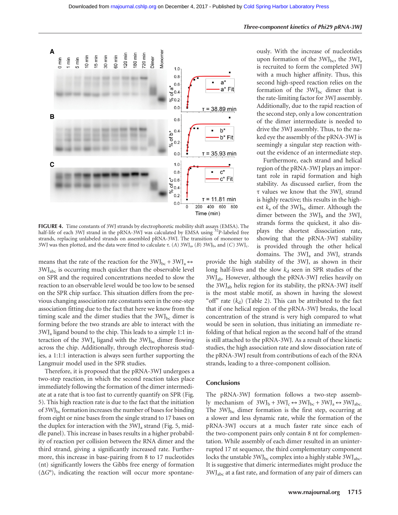

FIGURE 4. Time constants of 3WJ strands by electrophoretic mobility shift assays (EMSA). The half-life of each 3WJ strand in the pRNA-3WJ was calculated by EMSA using <sup>32</sup>P-labeled free strands, replacing unlabeled strands on assembled pRNA-3WJ. The transition of monomer to 3WJ was then plotted, and the data were fitted to calculate τ. (A) 3WJ<sub>a</sub>, (B) 3WJ<sub>b</sub>, and (C) 3WJ<sub>c</sub>.

means that the rate of the reaction for the  $3WJ_{bc} + 3WJ_{a} \leftrightarrow$ 3WJabc is occurring much quicker than the observable level on SPR and the required concentrations needed to slow the reaction to an observable level would be too low to be sensed on the SPR chip surface. This situation differs from the previous changing association rate constants seen in the one-step association fitting due to the fact that here we know from the timing scale and the dimer studies that the  $3WJ_{bc}$  dimer is forming before the two strands are able to interact with the 3WJa ligand bound to the chip. This leads to a simple 1:1 interaction of the  $3\text{WJ}_a$  ligand with the  $3\text{WJ}_b$ <sub>c</sub> dimer flowing across the chip. Additionally, through electrophoresis studies, a 1:1:1 interaction is always seen further supporting the Langmuir model used in the SPR studies.

Therefore, it is proposed that the pRNA-3WJ undergoes a two-step reaction, in which the second reaction takes place immediately following the formation of the dimer intermediate at a rate that is too fast to currently quantify on SPR (Fig. 5). This high reaction rate is due to the fact that the initiation of  $3WJ_{bc}$  formation increases the number of bases for binding from eight or nine bases from the single strand to 17 bases on the duplex for interaction with the  $3WJ<sub>a</sub>$  strand (Fig. 5, middle panel). This increase in bases results in a higher probability of reaction per collision between the RNA dimer and the third strand, giving a significantly increased rate. Furthermore, this increase in base-pairing from 8 to 17 nucleotides (nt) significantly lowers the Gibbs free energy of formation  $(\Delta G^{\circ})$ , indicating the reaction will occur more spontane-

ously. With the increase of nucleotides upon formation of the  $3WJ_{bc}$ , the  $3WJ_{a}$ is recruited to form the completed 3WJ with a much higher affinity. Thus, this second high-speed reaction relies on the formation of the  $3WJ_{bc}$  dimer that is the rate-limiting factor for 3WJ assembly. Additionally, due to the rapid reaction of the second step, only a low concentration of the dimer intermediate is needed to drive the 3WJ assembly. Thus, to the naked eye the assembly of the pRNA-3WJ is seemingly a singular step reaction without the evidence of an intermediate step.

Furthermore, each strand and helical region of the pRNA-3WJ plays an important role in rapid formation and high stability. As discussed earlier, from the τ values we know that the  $3W$ <sub>c</sub> strand is highly reactive; this results in the highest  $k_a$  of the 3WJ<sub>bc</sub> dimer. Although the dimer between the  $3WJ_b$  and the  $3WJ_c$ strands forms the quickest, it also displays the shortest dissociation rate, showing that the pRNA-3WJ stability is provided through the other helical domains. The 3WJ<sub>a</sub> and 3WJ<sub>c</sub> strands

provide the high stability of the 3WJ, as shown in their long half-lives and the slow  $k_d$  seen in SPR studies of the 3WJab. However, although the pRNA-3WJ relies heavily on the 3WJab helix region for its stability, the pRNA-3WJ itself is the most stable motif, as shown in having the slowest "off" rate  $(k_d)$  (Table 2). This can be attributed to the fact that if one helical region of the pRNA-3WJ breaks, the local concentration of the strand is very high compared to what would be seen in solution, thus initiating an immediate refolding of that helical region as the second half of the strand is still attached to the pRNA-3WJ. As a result of these kinetic studies, the high association rate and slow dissociation rate of the pRNA-3WJ result from contributions of each of the RNA strands, leading to a three-component collision.

### **Conclusions**

The pRNA-3WJ formation follows a two-step assembly mechanism of  $3WJ_b + 3WJ_c \leftrightarrow 3WJ_{bc} + 3WJ_a \leftrightarrow 3WJ_{abc}$ . The  $3WJ_{bc}$  dimer formation is the first step, occurring at a slower and less dynamic rate, while the formation of the pRNA-3WJ occurs at a much faster rate since each of the two-component pairs only contain 8 nt for complementation. While assembly of each dimer resulted in an uninterrupted 17 nt sequence, the third complementary component locks the unstable  $3WJ_{bc}$  complex into a highly stable  $3WJ_{abc}$ . It is suggestive that dimeric intermediates might produce the 3WJabc at a fast rate, and formation of any pair of dimers can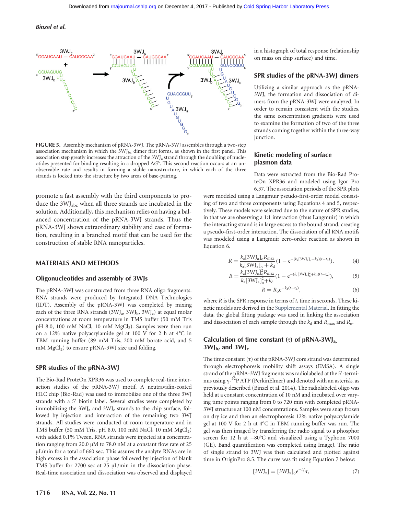Binzel et al.



FIGURE 5. Assembly mechanism of pRNA-3WJ. The pRNA-3WJ assembles through a two-step association mechanism in which the  $3WJ_{bc}$  dimer first forms, as shown in the first panel. This association step greatly increases the attraction of the 3WJ<sub>a</sub> strand through the doubling of nucleotides presented for binding resulting in a dropped  $\Delta G^{\circ}$ . This second reaction occurs at an unobservable rate and results in forming a stable nanostructure, in which each of the three strands is locked into the structure by two areas of base-pairing.

promote a fast assembly with the third components to produce the 3WJabc when all three strands are incubated in the solution. Additionally, this mechanism relies on having a balanced concentration of the pRNA-3WJ strands. Thus the pRNA-3WJ shows extraordinary stability and ease of formation, resulting in a branched motif that can be used for the construction of stable RNA nanoparticles.

### MATERIALS AND METHODS

#### Oligonucleotides and assembly of 3WJs

The pRNA-3WJ was constructed from three RNA oligo fragments. RNA strands were produced by Integrated DNA Technologies (IDT). Assembly of the pRNA-3WJ was completed by mixing each of the three RNA strands  $(3WJ_a, 3WJ_b, 3WJ_c)$  at equal molar concentrations at room temperature in TMS buffer (50 mM Tris pH 8.0, 100 mM NaCl, 10 mM MgCl<sub>2</sub>). Samples were then run on a 12% native polyacrylamide gel at 100 V for 2 h at 4°C in TBM running buffer (89 mM Tris, 200 mM borate acid, and 5 mM  $MgCl<sub>2</sub>$ ) to ensure pRNA-3WJ size and folding.

## SPR studies of the pRNA-3WJ

The Bio-Rad ProteOn XPR36 was used to complete real-time interaction studies of the pRNA-3WJ motif. A neutravidin-coated HLC chip (Bio-Rad) was used to immobilize one of the three 3WJ strands with a 5′ biotin label. Several studies were completed by immobilizing the  $3\text{WJ}_a$  and  $3\text{WJ}_c$  strands to the chip surface, followed by injection and interaction of the remaining two 3WJ strands. All studies were conducted at room temperature and in TMS buffer (50 mM Tris, pH 8.0, 100 mM NaCl, 10 mM  $MgCl<sub>2</sub>$ ) with added 0.1% Tween. RNA strands were injected at a concentration ranging from 20.0 μM to 78.0 nM at a constant flow rate of 25 μL/min for a total of 660 sec. This assures the analyte RNAs are in high excess in the association phase followed by injection of blank TMS buffer for 2700 sec at 25 μL/min in the dissociation phase. Real-time association and dissociation was observed and displayed in a histograph of total response (relationship on mass on chip surface) and time.

## SPR studies of the pRNA-3WJ dimers

Utilizing a similar approach as the pRNA-3WJ, the formation and dissociation of dimers from the pRNA-3WJ were analyzed. In order to remain consistent with the studies, the same concentration gradients were used to examine the formation of two of the three strands coming together within the three-way junction.

# Kinetic modeling of surface plasmon data

Data were extracted from the Bio-Rad ProteOn XPR36 and modeled using Igor Pro 6.37. The association periods of the SPR plots

were modeled using a Langmuir pseudo-first-order model consisting of two and three components using Equations 4 and 5, respectively. These models were selected due to the nature of SPR studies, in that we are observing a 1:1 interaction (thus Langmuir) in which the interacting strand is in large excess to the bound strand, creating a pseudo-first-order interaction. The dissociation of all RNA motifs was modeled using a Langmuir zero-order reaction as shown in Equation 6.

$$
R = \frac{k_a[3WJ_a]_o R_{\text{max}}}{k_a[3WJ_a]_o + k_d} (1 - e^{-(k_a[3WJ_a]_o + k_d)(t - t_o)}),
$$
(4)

$$
R = \frac{k_a [3W J_a]_o^2 R_{\text{max}}}{k_a [3W J_a]_o^2 + k_d} (1 - e^{-(k_a [3W J_a]_o^2 + k_d)(t - t_o)}),
$$
(5)

$$
R = R_0 e^{-k_d(t - t_0)},\tag{6}
$$

where  $R$  is the SPR response in terms of  $t$ , time in seconds. These kinetic models are derived in the [Supplemental Material](http://www.rnajournal.org/lookup/suppl/doi:10.1261/rna.057646.116/-/DC1). In fitting the data, the global fitting package was used in linking the association and dissociation of each sample through the  $k_d$  and  $R_{\text{max}}$  and  $R_o$ .

## Calculation of time constant  $(\tau)$  of pRNA-3WJ<sub>a</sub>,  $3WJ<sub>b</sub>$ , and  $3WJ<sub>c</sub>$

The time constant  $(\tau)$  of the pRNA-3WJ core strand was determined through electrophoresis mobility shift assays (EMSA). A single strand of the pRNA-3WJ fragments was radiolabeled at the 5′ -terminus using γ- $^{32}$ P ATP (PerkinElmer) and denoted with an asterisk, as previously described (Binzel et al. 2014). The radiolabeled oligo was held at a constant concentration of 10 nM and incubated over varying time points ranging from 0 to 720 min with completed pRNA-3WJ structure at 100 nM concentrations. Samples were snap frozen on dry ice and then an electrophoresis 12% native polyacrylamide gel at 100 V for 2 h at 4°C in TBM running buffer was run. The gel was then imaged by transferring the radio signal to a phosphor screen for 12 h at −80°C and visualized using a Typhoon 7000 (GE). Band quantification was completed using ImageJ. The ratio of single strand to 3WJ was then calculated and plotted against time in OriginPro 8.5. The curve was fit using Equation 7 below:

$$
[3\mathrm{WJ}_x] = [3\mathrm{WJ}_x]_0 e^{-t/\tau},\tag{7}
$$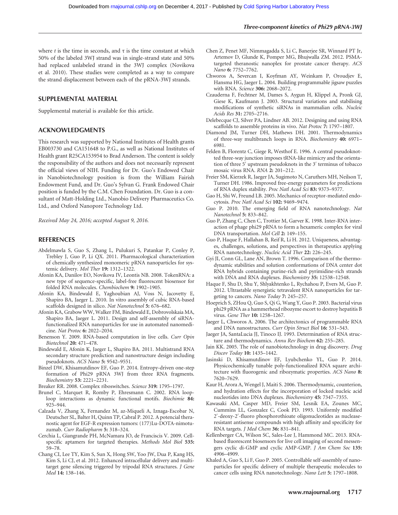where t is the time in seconds, and  $\tau$  is the time constant at which 50% of the labeled 3WJ strand was in single-strand state and 50% had replaced unlabeled strand in the 3WJ complex (Novikova et al. 2010). These studies were completed as a way to compare the strand displacement between each of the pRNA-3WJ strands.

## SUPPLEMENTAL MATERIAL

Supplemental material is available for this article.

## ACKNOWLEDGMENTS

This research was supported by National Institutes of Health grants EB003730 and CA151648 to P.G., as well as National Institutes of Health grant R25CA153954 to Brad Anderson. The content is solely the responsibility of the authors and does not necessarily represent the official views of NIH. Funding for Dr. Guo's Endowed Chair in Nanobiotechnology position is from the William Fairish Endowment Fund, and Dr. Guo's Sylvan G. Frank Endowed Chair position is funded by the C.M. Chen Foundation. Dr. Guo is a consultant of Matt-Holding Ltd., Nanobio Delivery Pharmaceutics Co. Ltd., and Oxford Nanopore Technology Ltd.

Received May 24, 2016; accepted August 9, 2016.

### REFERENCES

- Abdelmawla S, Guo S, Zhang L, Pulukuri S, Patankar P, Conley P, Trebley J, Guo P, Li QX. 2011. Pharmacological characterization of chemically synthesized monomeric pRNA nanoparticles for systemic delivery. Mol Ther 19: 1312–1322.
- Afonin KA, Danilov EO, Novikova IV, Leontis NB. 2008. TokenRNA: a new type of sequence-specific, label-free fluorescent biosensor for folded RNA molecules. Chembiochem 9: 1902–1905.
- Afonin KA, Bindewald E, Yaghoubian AJ, Voss N, Jacovetty E, Shapiro BA, Jaeger L. 2010. In vitro assembly of cubic RNA-based scaffolds designed in silico. Nat Nanotechnol 5: 676-682.
- Afonin KA, Grabow WW, Walker FM, Bindewald E, Dobrovolskaia MA, Shapiro BA, Jaeger L. 2011. Design and self-assembly of siRNAfunctionalized RNA nanoparticles for use in automated nanomedicine. Nat Protoc 6: 2022–2034.
- Benenson Y. 2009. RNA-based computation in live cells. Curr Opin Biotechnol 20: 471–478.
- Bindewald E, Afonin K, Jaeger L, Shapiro BA. 2011. Multistrand RNA secondary structure prediction and nanostructure design including pseudoknots. ACS Nano 5: 9542–9551.
- Binzel DW, Khisamutdinov EF, Guo P. 2014. Entropy-driven one-step formation of Phi29 pRNA 3WJ from three RNA fragments. Biochemistry 53: 2221–2231.

Breaker RR. 2008. Complex riboswitches. Science 319: 1795–1797.

- Brunel C, Marquet R, Romby P, Ehresmann C. 2002. RNA looploop interactions as dynamic functional motifs. Biochimie 84: 925–944.
- Calzada V, Zhang X, Fernandez M, az-Miqueli A, Iznaga-Escobar N, Deutscher SL, Balter H, Quinn TP, Cabral P. 2012. A potencial theranostic agent for EGF-R expression tumors: (177)Lu-DOTA-nimotuzumab. Curr Radiopharm 5: 318–324.
- Cerchia L, Giangrande PH, McNamara JO, de Franciscis V. 2009. Cellspecific aptamers for targeted therapies. Methods Mol Biol 535: 59–78.
- Chang CI, Lee TY, Kim S, Sun X, Hong SW, Yoo JW, Dua P, Kang HS, Kim S, Li CJ, et al. 2012. Enhanced intracellular delivery and multitarget gene silencing triggered by tripodal RNA structures. J Gene Med 14: 138–146.
- Chen Z, Penet MF, Nimmagadda S, Li C, Banerjee SR, Winnard PT Jr, Artemov D, Glunde K, Pomper MG, Bhujwalla ZM. 2012. PSMAtargeted theranostic nanoplex for prostate cancer therapy. ACS Nano 6: 7752–7762.
- Chworos A, Severcan I, Koyfman AY, Weinkam P, Oroudjev E, Hansma HG, Jaeger L. 2004. Building programmable jigsaw puzzles with RNA. Science 306: 2068–2072.
- Czauderna F, Fechtner M, Dames S, Aygun H, Klippel A, Pronk GJ, Giese K, Kaufmann J. 2003. Structural variations and stabilising modifications of synthetic siRNAs in mammalian cells. Nucleic Acids Res 31: 2705–2716.
- Delebecque CJ, Silver PA, Lindner AB. 2012. Designing and using RNA scaffolds to assemble proteins in vivo. Nat Protoc 7: 1797–1807.
- Diamond JM, Turner DH, Mathews DH. 2001. Thermodynamics of three-way multibranch loops in RNA. Biochemistry 40: 6971– 6981.
- Felden B, Florentz C, Giege R, Westhof E. 1996. A central pseudoknotted three-way junction imposes tRNA-like mimicry and the orientation of three 5′ upstream pseudoknots in the 3′ terminus of tobacco mosaic virus RNA. RNA 2: 201–212.
- Freier SM, Kierzek R, Jaeger JA, Sugimoto N, Caruthers MH, Neilson T, Turner DH. 1986. Improved free-energy parameters for predictions of RNA duplex stability. Proc Natl Acad Sci 83: 9373–9377.
- Gao H, Shi W, Freund LB. 2005. Mechanics of receptor-mediated endocytosis. Proc Natl Acad Sci 102: 9469–9474.
- Guo P. 2010. The emerging field of RNA nanotechnology. Nat Nanotechnol 5: 833–842.
- Guo P, Zhang C, Chen C, Trottier M, Garver K. 1998. Inter-RNA interaction of phage phi29 pRNA to form a hexameric complex for viral DNA transportation. Mol Cell 2: 149–155.
- Guo P, Haque F, Hallahan B, Reif R, Li H. 2012. Uniqueness, advantages, challenges, solutions, and perspectives in therapeutics applying RNA nanotechnology. Nucleic Acid Ther 22: 226–245.
- Gyi JI, Conn GL, Lane AN, Brown T. 1996. Comparison of the thermodynamic stabilities and solution conformations of DNA center dot RNA hybrids containing purine-rich and pyrimidine-rich strands with DNA and RNA duplexes. Biochemistry 35: 12538–12548.
- Haque F, Shu D, Shu Y, Shlyakhtenko L, Rychahou P, Evers M, Guo P. 2012. Ultrastable synergistic tetravalent RNA nanoparticles for targeting to cancers. Nano Today 7: 245–257.
- Hoeprich S, ZHou Q, Guo S, Qi G, Wang Y, Guo P. 2003. Bacterial virus phi29 pRNA as a hammerhead ribozyme escort to destroy hepatitis B virus. Gene Ther 10: 1258–1267.
- Jaeger L, Chworos A. 2006. The architectonics of programmable RNA and DNA nanostructures. Curr Opin Struct Biol 16: 531–543.
- Jaeger JA, SantaLucia JJ, Tinoco IJ. 1993. Determination of RNA structure and thermodynamics. Annu Rev Biochem 62: 255–285.
- Jain KK. 2005. The role of nanobiotechnology in drug discovery. Drug Discov Today 10: 1435–1442.
- Jasinski D, Khisamutdinov EF, Lyubchenko YL, Guo P. 2014. Physicochemically tunable poly-functionalized RNA square architecture with fluorogenic and ribozymatic properties. ACS Nano 8: 7620–7629.
- Kaur H, Arora A, Wengel J, Maiti S. 2006. Thermodynamic, counterion, and hydration effects for the incorporation of locked nucleic acid nucleotides into DNA duplexes. Biochemistry 45: 7347–7355.
- Kawasaki AM, Casper MD, Freier SM, Lesnik EA, Zounes MC, Cummins LL, Gonzalez C, Cook PD. 1993. Uniformly modified 2′ -deoxy-2′ -fluoro phosphorothioate oligonucleotides as nucleaseresistant antisense compounds with high affinity and specificity for RNA targets. J Med Chem 36: 831–841.
- Kellenberger CA, Wilson SC, Sales-Lee J, Hammond MC. 2013. RNAbased fluorescent biosensors for live cell imaging of second messengers cyclic di-GMP and cyclic AMP-GMP. J Am Chem Soc 135: 4906–4909.
- Khaled A, Guo S, Li F, Guo P. 2005. Controllable self-assembly of nanoparticles for specific delivery of multiple therapeutic molecules to cancer cells using RNA nanotechnology. Nano Lett 5: 1797–1808.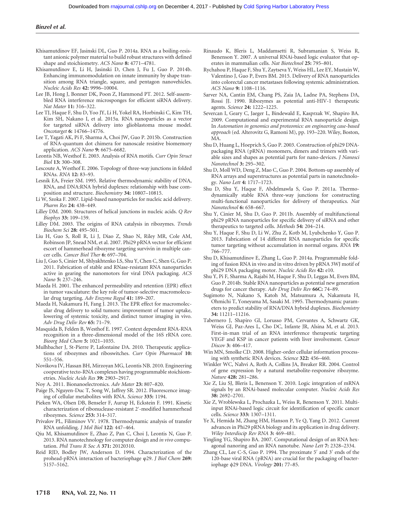- Khisamutdinov EF, Jasinski DL, Guo P. 2014a. RNA as a boiling-resistant anionic polymer material to build robust structures with defined shape and stoichiometry. ACS Nano 8: 4771-4781.
- Khisamutdinov E, Li H, Jasinski D, Chen J, Fu J, Guo P. 2014b. Enhancing immunomodulation on innate immunity by shape transition among RNA triangle, square, and pentagon nanovehicles. Nucleic Acids Res 42: 9996–10004.
- Lee JB, Hong J, Bonner DK, Poon Z, Hammond PT. 2012. Self-assembled RNA interference microsponges for efficient siRNA delivery. Nat Mater 11: 316-322.
- Lee TJ, Haque F, Shu D, Yoo JY, Li H, Yokel RA, Horbinski C, Kim TH, Kim SH, Nakano I, et al. 2015a. RNA nanoparticles as a vector for targeted siRNA delivery into glioblastoma mouse model. Oncotarget 6: 14766–14776.
- Lee T, Yagati AK, Pi F, Sharma A, Choi JW, Guo P. 2015b. Construction of RNA-quantum dot chimera for nanoscale resistive biomemory application. ACS Nano 9: 6675–6682.
- Leontis NB, Westhof E. 2003. Analysis of RNA motifs. Curr Opin Struct Biol 13: 300–308.
- Lescoute A, Westhof E. 2006. Topology of three-way junctions in folded RNAs. RNA 12: 83–93.
- Lesnik EA, Freier SM. 1995. Relative thermodynamic stability of DNA, RNA, and DNA:RNA hybrid duplexes: relationship with base composition and structure. Biochemistry 34: 10807-10815.
- Li W, Szoka F. 2007. Lipid-based nanoparticles for nucleic acid delivery. Pharm Res 24: 438–449.
- Lilley DM. 2000. Structures of helical junctions in nucleic acids. Q Rev Biophys 33: 109–159.
- Lilley DM. 2003. The origins of RNA catalysis in ribozymes. Trends Biochem Sci 28: 495–501.
- Liu H, Guo S, Roll R, Li J, Diao Z, Shao N, Riley MR, Cole AM, Robinson JP, Snead NM, et al. 2007. Phi29 pRNA vector for efficient escort of hammerhead ribozyme targeting survivin in multiple cancer cells. Cancer Biol Ther 6: 697–704.
- Liu J, Guo S, Cinier M, Shlyakhtenko LS, Shu Y, Chen C, Shen G, Guo P. 2011. Fabrication of stable and RNase-resistant RNA nanoparticles active in gearing the nanomotors for viral DNA packaging. ACS Nano 5: 237–246.
- Maeda H. 2001. The enhanced permeability and retention (EPR) effect in tumor vasculature: the key role of tumor-selective macromolecular drug targeting. Adv Enzyme Regul 41: 189–207.
- Maeda H, Nakamura H, Fang J. 2013. The EPR effect for macromolecular drug delivery to solid tumors: improvement of tumor uptake, lowering of systemic toxicity, and distinct tumor imaging in vivo. Adv Drug Deliv Rev 65: 71–79.
- Masquida B, Felden B, Westhof E. 1997. Context dependent RNA-RNA recognition in a three-dimensional model of the 16S rRNA core. Bioorg Med Chem 5: 1021–1035.
- Mulhbacher J, St-Pierre P, Lafontaine DA. 2010. Therapeutic applications of ribozymes and riboswitches. Curr Opin Pharmacol 10: 551–556.
- Novikova IV, Hassan BH, Mirzoyan MG, Leontis NB. 2010. Engineering cooperative tecto-RNA complexes having programmable stoichiometries. Nucleic Acids Res 39: 2903–2917.
- Noy A. 2011. Bionanoelectronics. Adv Mater 23: 807–820.
- Paige JS, Nguyen-Duc T, Song W, Jaffrey SR. 2012. Fluorescence imaging of cellular metabolites with RNA. Science 335: 1194.
- Pieken WA, Olsen DB, Benseler F, Aurup H, Eckstein F. 1991. Kinetic characterization of ribonuclease-resistant 2′ -modified hammerhead ribozymes. Science 253: 314-317.
- Privalov PL, Filiminov VV. 1978. Thermodynamic analysis of transfer RNA unfolding. J Mol Biol 122: 447–464.
- Qiu M, Khisamutdinov E, Zhao Z, Pan C, Choi J, Leontis N, Guo P. 2013. RNA nanotechnology for computer design and *in vivo* computation. Phil Trans R Soc A 371: 20120310.
- Reid RJD, Bodley JW, Anderson D. 1994. Characterization of the prohead-pRNA interaction of bacteriophage φ29. J Biol Chem 269: 5157–5162.
- Rinaudo K, Bleris L, Maddamsetti R, Subramanian S, Weiss R, Benenson Y. 2007. A universal RNAi-based logic evaluator that operates in mammalian cells. Nat Biotechnol 25: 795–801.
- Rychahou P, Haque F, Shu Y, Zaytseva Y, Weiss HL, Lee EY, Mustain W, Valentino J, Guo P, Evers BM. 2015. Delivery of RNA nanoparticles into colorectal cancer metastases following systemic administration. ACS Nano 9: 1108–1116.
- Sarver NA, Cantin EM, Chang PS, Zaia JA, Ladne PA, Stephens DA, Rossi JJ. 1990. Ribozymes as potential anti-HIV-1 therapeutic agents. Science 24: 1222–1225.
- Severcan I, Geary C, Jaeger L, Bindewald E, Kasprzak W, Shapiro BA. 2009. Computational and experimental RNA nanoparticle design. In Automation in genomics and proteomics: an engineering case-based approach (ed. Alterovitz G, Ramoni M), pp. 193–220. Wiley, Boston, MA.
- Shu D, Huang L, Hoeprich S, Guo P. 2003. Construction of phi29 DNApackaging RNA (pRNA) monomers, dimers and trimers with variable sizes and shapes as potential parts for nano-devices. J Nanosci Nanotechnol 3: 295–302.
- Shu D, Moll WD, Deng Z, Mao C, Guo P. 2004. Bottom-up assembly of RNA arrays and superstructures as potential parts in nanotechnology. Nano Lett 4: 1717–1723.
- Shu D, Shu Y, Haque F, Abdelmawla S, Guo P. 2011a. Thermodynamically stable RNA three-way junctions for constructing multi-functional nanoparticles for delivery of therapeutics. Nat Nanotechnol 6: 658–667.
- Shu Y, Cinier M, Shu D, Guo P. 2011b. Assembly of multifunctional phi29 pRNA nanoparticles for specific delivery of siRNA and other therapeutics to targeted cells. Methods 54: 204–214.
- Shu Y, Haque F, Shu D, Li W, Zhu Z, Kotb M, Lyubchenko Y, Guo P. 2013. Fabrication of 14 different RNA nanoparticles for specific tumor targeting without accumulation in normal organs. RNA 19: 766–777.
- Shu D, Khisamutdinov E, Zhang L, Guo P. 2014a. Programmable folding of fusion RNA in vivo and in vitro driven by pRNA 3WJ motif of phi29 DNA packaging motor. Nucleic Acids Res 42: e10.
- Shu Y, Pi F, Sharma A, Rajabi M, Haque F, Shu D, Leggas M, Evers BM, Guo P. 2014b. Stable RNA nanoparticles as potential new generation drugs for cancer therapy. Adv Drug Deliv Rev 66C: 74–89.
- Sugimoto N, Nakano S, Katoh M, Matsumura A, Nakamuta H, Ohmichi T, Yoneyama M, Sasaki M. 1995. Thermodynamic parameters to predict stability of RNA/DNA hybrid duplexes. Biochemistry 34: 11211–11216.
- Tabernero J, Shapiro GI, Lorusso PM, Cervantes A, Schwartz GK, Weiss GJ, Paz-Ares L, Cho DC, Infante JR, Alsina M, et al. 2013. First-in-man trial of an RNA interference therapeutic targeting VEGF and KSP in cancer patients with liver involvement. Cancer Discov 3: 406-417.
- Win MN, Smolke CD. 2008. Higher-order cellular information processing with synthetic RNA devices. Science 322: 456–460.
- Winkler WC, Nahvi A, Roth A, Collins JA, Breaker RR. 2004. Control of gene expression by a natural metabolite-responsive ribozyme. Nature 428: 281–286.
- Xie Z, Liu SJ, Bleris L, Benenson Y. 2010. Logic integration of mRNA signals by an RNAi-based molecular computer. Nucleic Acids Res 38: 2692–2701.
- Xie Z, Wroblewska L, Prochazka L, Weiss R, Benenson Y. 2011. Multiinput RNAi-based logic circuit for identification of specific cancer cells. Science 333: 1307–1311.
- Ye X, Hemida M, Zhang HM, Hanson P, Ye Q, Yang D. 2012. Current advances in Phi29 pRNA biology and its application in drug delivery. Wiley Interdiscip Rev RNA 3: 469–481.
- Yingling YG, Shapiro BA. 2007. Computational design of an RNA hexagonal nanoring and an RNA nanotube. Nano Lett 7: 2328–2334.
- Zhang CL, Lee C-S, Guo P. 1994. The proximate 5′ and 3′ ends of the 120-base viral RNA (pRNA) are crucial for the packaging of bacteriophage ϕ29 DNA. Virology 201: 77–85.